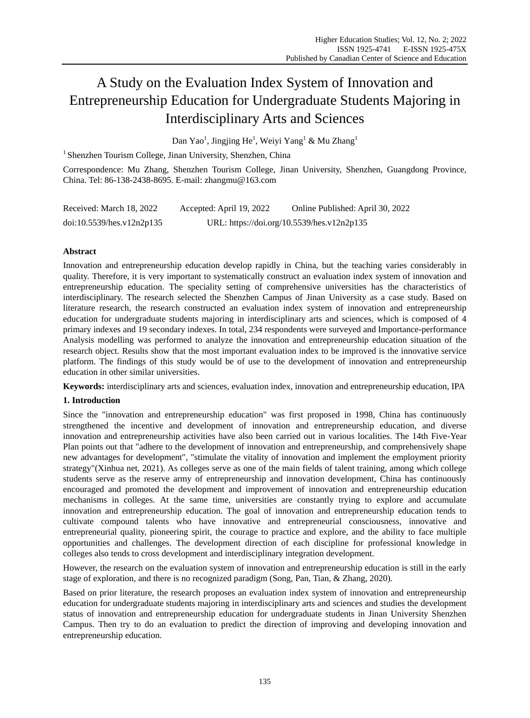# A Study on the Evaluation Index System of Innovation and Entrepreneurship Education for Undergraduate Students Majoring in Interdisciplinary Arts and Sciences

Dan Yao $^1$ , Jingjing He $^1$ , Weiyi Yang $^1$  & Mu Zhang $^1$ 

<sup>1</sup> Shenzhen Tourism College, Jinan University, Shenzhen, China

Correspondence: Mu Zhang, Shenzhen Tourism College, Jinan University, Shenzhen, Guangdong Province, China. Tel: 86-138-2438-8695. E-mail: zhangmu@163.com

| Received: March 18, 2022  | Accepted: April 19, 2022 | Online Published: April 30, 2022           |
|---------------------------|--------------------------|--------------------------------------------|
| doi:10.5539/hes.v12n2p135 |                          | URL: https://doi.org/10.5539/hes.v12n2p135 |

# **Abstract**

Innovation and entrepreneurship education develop rapidly in China, but the teaching varies considerably in quality. Therefore, it is very important to systematically construct an evaluation index system of innovation and entrepreneurship education. The speciality setting of comprehensive universities has the characteristics of interdisciplinary. The research selected the Shenzhen Campus of Jinan University as a case study. Based on literature research, the research constructed an evaluation index system of innovation and entrepreneurship education for undergraduate students majoring in interdisciplinary arts and sciences, which is composed of 4 primary indexes and 19 secondary indexes. In total, 234 respondents were surveyed and Importance-performance Analysis modelling was performed to analyze the innovation and entrepreneurship education situation of the research object. Results show that the most important evaluation index to be improved is the innovative service platform. The findings of this study would be of use to the development of innovation and entrepreneurship education in other similar universities.

**Keywords:** interdisciplinary arts and sciences, evaluation index, innovation and entrepreneurship education, IPA

# **1. Introduction**

Since the "innovation and entrepreneurship education" was first proposed in 1998, China has continuously strengthened the incentive and development of innovation and entrepreneurship education, and diverse innovation and entrepreneurship activities have also been carried out in various localities. The 14th Five-Year Plan points out that "adhere to the development of innovation and entrepreneurship, and comprehensively shape new advantages for development", "stimulate the vitality of innovation and implement the employment priority strategy"(Xinhua net, 2021). As colleges serve as one of the main fields of talent training, among which college students serve as the reserve army of entrepreneurship and innovation development, China has continuously encouraged and promoted the development and improvement of innovation and entrepreneurship education mechanisms in colleges. At the same time, universities are constantly trying to explore and accumulate innovation and entrepreneurship education. The goal of innovation and entrepreneurship education tends to cultivate compound talents who have innovative and entrepreneurial consciousness, innovative and entrepreneurial quality, pioneering spirit, the courage to practice and explore, and the ability to face multiple opportunities and challenges. The development direction of each discipline for professional knowledge in colleges also tends to cross development and interdisciplinary integration development.

However, the research on the evaluation system of innovation and entrepreneurship education is still in the early stage of exploration, and there is no recognized paradigm (Song, Pan, Tian, & Zhang, 2020).

Based on prior literature, the research proposes an evaluation index system of innovation and entrepreneurship education for undergraduate students majoring in interdisciplinary arts and sciences and studies the development status of innovation and entrepreneurship education for undergraduate students in Jinan University Shenzhen Campus. Then try to do an evaluation to predict the direction of improving and developing innovation and entrepreneurship education.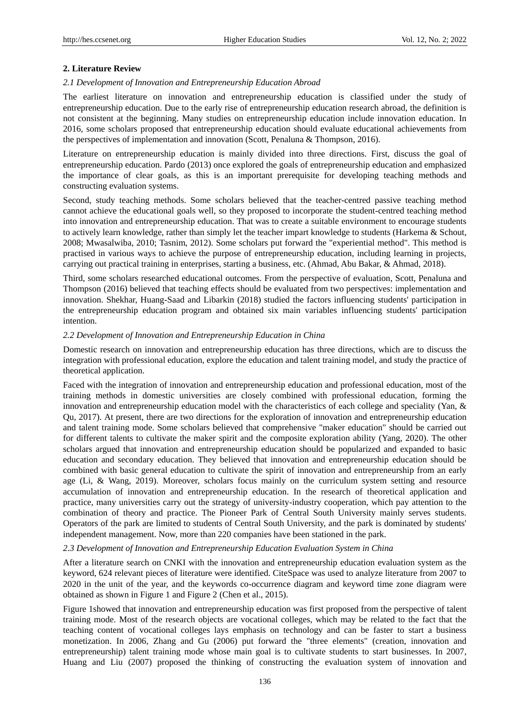## **2. Literature Review**

## *2.1 Development of Innovation and Entrepreneurship Education Abroad*

The earliest literature on innovation and entrepreneurship education is classified under the study of entrepreneurship education. Due to the early rise of entrepreneurship education research abroad, the definition is not consistent at the beginning. Many studies on entrepreneurship education include innovation education. In 2016, some scholars proposed that entrepreneurship education should evaluate educational achievements from the perspectives of implementation and innovation (Scott, Penaluna & Thompson, 2016).

Literature on entrepreneurship education is mainly divided into three directions. First, discuss the goal of entrepreneurship education. Pardo (2013) once explored the goals of entrepreneurship education and emphasized the importance of clear goals, as this is an important prerequisite for developing teaching methods and constructing evaluation systems.

Second, study teaching methods. Some scholars believed that the teacher-centred passive teaching method cannot achieve the educational goals well, so they proposed to incorporate the student-centred teaching method into innovation and entrepreneurship education. That was to create a suitable environment to encourage students to actively learn knowledge, rather than simply let the teacher impart knowledge to students (Harkema & Schout, 2008; Mwasalwiba, 2010; Tasnim, 2012). Some scholars put forward the "experiential method". This method is practised in various ways to achieve the purpose of entrepreneurship education, including learning in projects, carrying out practical training in enterprises, starting a business, etc. (Ahmad, Abu Bakar, & Ahmad, 2018).

Third, some scholars researched educational outcomes. From the perspective of evaluation, Scott, Penaluna and Thompson (2016) believed that teaching effects should be evaluated from two perspectives: implementation and innovation. Shekhar, Huang-Saad and Libarkin (2018) studied the factors influencing students' participation in the entrepreneurship education program and obtained six main variables influencing students' participation intention.

#### *2.2 Development of Innovation and Entrepreneurship Education in China*

Domestic research on innovation and entrepreneurship education has three directions, which are to discuss the integration with professional education, explore the education and talent training model, and study the practice of theoretical application.

Faced with the integration of innovation and entrepreneurship education and professional education, most of the training methods in domestic universities are closely combined with professional education, forming the innovation and entrepreneurship education model with the characteristics of each college and speciality (Yan, & Qu, 2017). At present, there are two directions for the exploration of innovation and entrepreneurship education and talent training mode. Some scholars believed that comprehensive "maker education" should be carried out for different talents to cultivate the maker spirit and the composite exploration ability (Yang, 2020). The other scholars argued that innovation and entrepreneurship education should be popularized and expanded to basic education and secondary education. They believed that innovation and entrepreneurship education should be combined with basic general education to cultivate the spirit of innovation and entrepreneurship from an early age (Li, & Wang, 2019). Moreover, scholars focus mainly on the curriculum system setting and resource accumulation of innovation and entrepreneurship education. In the research of theoretical application and practice, many universities carry out the strategy of university-industry cooperation, which pay attention to the combination of theory and practice. The Pioneer Park of Central South University mainly serves students. Operators of the park are limited to students of Central South University, and the park is dominated by students' independent management. Now, more than 220 companies have been stationed in the park.

#### *2.3 Development of Innovation and Entrepreneurship Education Evaluation System in China*

After a literature search on CNKI with the innovation and entrepreneurship education evaluation system as the keyword, 624 relevant pieces of literature were identified. CiteSpace was used to analyze literature from 2007 to 2020 in the unit of the year, and the keywords co-occurrence diagram and keyword time zone diagram were obtained as shown in Figure 1 and Figure 2 (Chen et al., 2015).

Figure 1showed that innovation and entrepreneurship education was first proposed from the perspective of talent training mode. Most of the research objects are vocational colleges, which may be related to the fact that the teaching content of vocational colleges lays emphasis on technology and can be faster to start a business monetization. In 2006, Zhang and Gu (2006) put forward the "three elements" (creation, innovation and entrepreneurship) talent training mode whose main goal is to cultivate students to start businesses. In 2007, Huang and Liu (2007) proposed the thinking of constructing the evaluation system of innovation and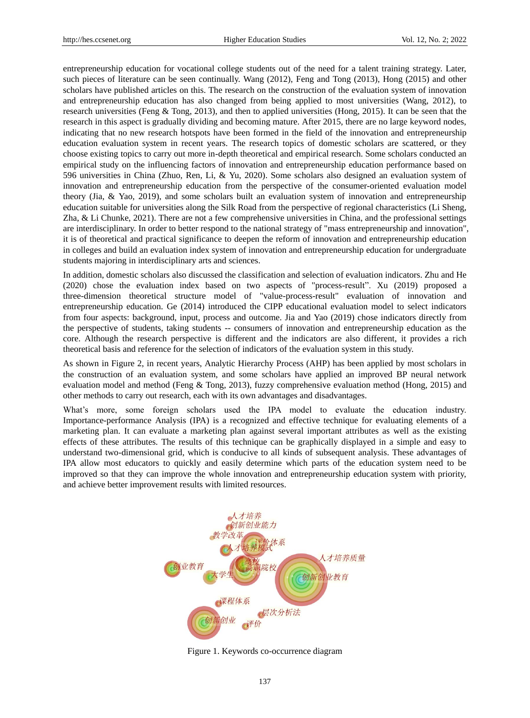entrepreneurship education for vocational college students out of the need for a talent training strategy. Later, such pieces of literature can be seen continually. Wang (2012), Feng and Tong (2013), Hong (2015) and other scholars have published articles on this. The research on the construction of the evaluation system of innovation and entrepreneurship education has also changed from being applied to most universities (Wang, 2012), to research universities (Feng & Tong, 2013), and then to applied universities (Hong, 2015). It can be seen that the research in this aspect is gradually dividing and becoming mature. After 2015, there are no large keyword nodes, indicating that no new research hotspots have been formed in the field of the innovation and entrepreneurship education evaluation system in recent years. The research topics of domestic scholars are scattered, or they choose existing topics to carry out more in-depth theoretical and empirical research. Some scholars conducted an empirical study on the influencing factors of innovation and entrepreneurship education performance based on 596 universities in China (Zhuo, Ren, Li, & Yu, 2020). Some scholars also designed an evaluation system of innovation and entrepreneurship education from the perspective of the consumer-oriented evaluation model theory (Jia, & Yao, 2019), and some scholars built an evaluation system of innovation and entrepreneurship education suitable for universities along the Silk Road from the perspective of regional characteristics (Li Sheng, Zha, & Li Chunke, 2021). There are not a few comprehensive universities in China, and the professional settings are interdisciplinary. In order to better respond to the national strategy of "mass entrepreneurship and innovation", it is of theoretical and practical significance to deepen the reform of innovation and entrepreneurship education in colleges and build an evaluation index system of innovation and entrepreneurship education for undergraduate students majoring in interdisciplinary arts and sciences.

In addition, domestic scholars also discussed the classification and selection of evaluation indicators. Zhu and He (2020) chose the evaluation index based on two aspects of "process-result". Xu (2019) proposed a three-dimension theoretical structure model of "value-process-result" evaluation of innovation and entrepreneurship education. Ge (2014) introduced the CIPP educational evaluation model to select indicators from four aspects: background, input, process and outcome. Jia and Yao (2019) chose indicators directly from the perspective of students, taking students -- consumers of innovation and entrepreneurship education as the core. Although the research perspective is different and the indicators are also different, it provides a rich theoretical basis and reference for the selection of indicators of the evaluation system in this study.

As shown in Figure 2, in recent years, Analytic Hierarchy Process (AHP) has been applied by most scholars in the construction of an evaluation system, and some scholars have applied an improved BP neural network evaluation model and method (Feng & Tong, 2013), fuzzy comprehensive evaluation method (Hong, 2015) and other methods to carry out research, each with its own advantages and disadvantages.

What's more, some foreign scholars used the IPA model to evaluate the education industry. Importance-performance Analysis (IPA) is a recognized and effective technique for evaluating elements of a marketing plan. It can evaluate a marketing plan against several important attributes as well as the existing effects of these attributes. The results of this technique can be graphically displayed in a simple and easy to understand two-dimensional grid, which is conducive to all kinds of subsequent analysis. These advantages of IPA allow most educators to quickly and easily determine which parts of the education system need to be improved so that they can improve the whole innovation and entrepreneurship education system with priority, and achieve better improvement results with limited resources.



Figure 1. Keywords co-occurrence diagram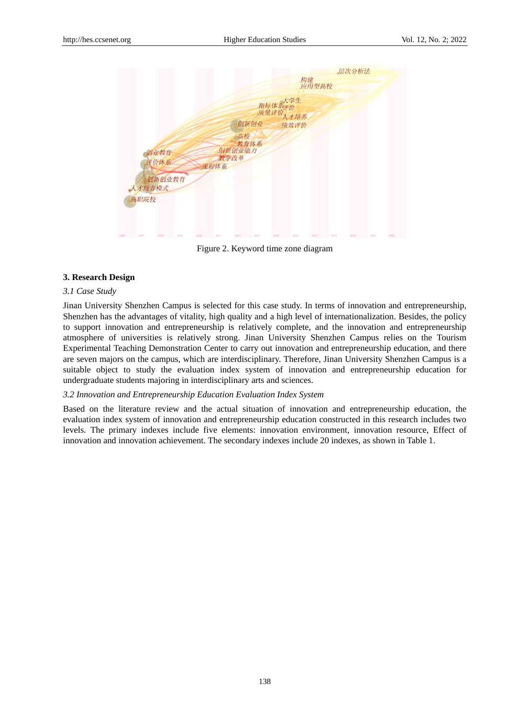

Figure 2. Keyword time zone diagram

#### **3. Research Design**

## *3.1 Case Study*

Jinan University Shenzhen Campus is selected for this case study. In terms of innovation and entrepreneurship, Shenzhen has the advantages of vitality, high quality and a high level of internationalization. Besides, the policy to support innovation and entrepreneurship is relatively complete, and the innovation and entrepreneurship atmosphere of universities is relatively strong. Jinan University Shenzhen Campus relies on the Tourism Experimental Teaching Demonstration Center to carry out innovation and entrepreneurship education, and there are seven majors on the campus, which are interdisciplinary. Therefore, Jinan University Shenzhen Campus is a suitable object to study the evaluation index system of innovation and entrepreneurship education for undergraduate students majoring in interdisciplinary arts and sciences.

#### *3.2 Innovation and Entrepreneurship Education Evaluation Index System*

Based on the literature review and the actual situation of innovation and entrepreneurship education, the evaluation index system of innovation and entrepreneurship education constructed in this research includes two levels. The primary indexes include five elements: innovation environment, innovation resource, Effect of innovation and innovation achievement. The secondary indexes include 20 indexes, as shown in Table 1.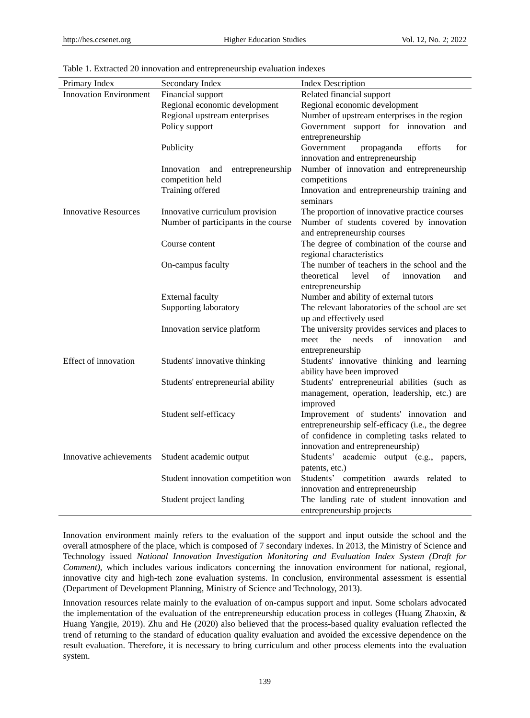| Primary Index                 | Secondary Index                      | <b>Index Description</b>                         |  |  |  |
|-------------------------------|--------------------------------------|--------------------------------------------------|--|--|--|
| <b>Innovation Environment</b> | Financial support                    | Related financial support                        |  |  |  |
|                               | Regional economic development        | Regional economic development                    |  |  |  |
|                               | Regional upstream enterprises        | Number of upstream enterprises in the region     |  |  |  |
|                               | Policy support                       | Government support for innovation and            |  |  |  |
|                               |                                      | entrepreneurship                                 |  |  |  |
|                               | Publicity                            | Government<br>propaganda<br>efforts<br>for       |  |  |  |
|                               |                                      | innovation and entrepreneurship                  |  |  |  |
|                               | Innovation and<br>entrepreneurship   | Number of innovation and entrepreneurship        |  |  |  |
|                               | competition held                     | competitions                                     |  |  |  |
|                               | Training offered                     | Innovation and entrepreneurship training and     |  |  |  |
|                               |                                      | seminars                                         |  |  |  |
| <b>Innovative Resources</b>   | Innovative curriculum provision      | The proportion of innovative practice courses    |  |  |  |
|                               | Number of participants in the course | Number of students covered by innovation         |  |  |  |
|                               |                                      | and entrepreneurship courses                     |  |  |  |
|                               | Course content                       | The degree of combination of the course and      |  |  |  |
|                               |                                      | regional characteristics                         |  |  |  |
|                               | On-campus faculty                    | The number of teachers in the school and the     |  |  |  |
|                               |                                      | of<br>theoretical<br>level<br>innovation<br>and  |  |  |  |
|                               |                                      | entrepreneurship                                 |  |  |  |
|                               | <b>External faculty</b>              | Number and ability of external tutors            |  |  |  |
|                               | Supporting laboratory                | The relevant laboratories of the school are set  |  |  |  |
|                               |                                      | up and effectively used                          |  |  |  |
|                               | Innovation service platform          | The university provides services and places to   |  |  |  |
|                               |                                      | innovation<br>the<br>needs<br>of<br>meet<br>and  |  |  |  |
|                               |                                      | entrepreneurship                                 |  |  |  |
| Effect of innovation          | Students' innovative thinking        | Students' innovative thinking and learning       |  |  |  |
|                               |                                      | ability have been improved                       |  |  |  |
|                               | Students' entrepreneurial ability    | Students' entrepreneurial abilities (such as     |  |  |  |
|                               |                                      | management, operation, leadership, etc.) are     |  |  |  |
|                               |                                      | improved                                         |  |  |  |
|                               | Student self-efficacy                | Improvement of students' innovation and          |  |  |  |
|                               |                                      | entrepreneurship self-efficacy (i.e., the degree |  |  |  |
|                               |                                      | of confidence in completing tasks related to     |  |  |  |
|                               |                                      | innovation and entrepreneurship)                 |  |  |  |
| Innovative achievements       | Student academic output              | Students' academic output (e.g., papers,         |  |  |  |
|                               |                                      | patents, etc.)                                   |  |  |  |
|                               | Student innovation competition won   | Students' competition awards related to          |  |  |  |
|                               |                                      | innovation and entrepreneurship                  |  |  |  |
|                               | Student project landing              | The landing rate of student innovation and       |  |  |  |
|                               |                                      | entrepreneurship projects                        |  |  |  |

Table 1. Extracted 20 innovation and entrepreneurship evaluation indexes

Innovation environment mainly refers to the evaluation of the support and input outside the school and the overall atmosphere of the place, which is composed of 7 secondary indexes. In 2013, the Ministry of Science and Technology issued *National Innovation Investigation Monitoring and Evaluation Index System (Draft for Comment)*, which includes various indicators concerning the innovation environment for national, regional, innovative city and high-tech zone evaluation systems. In conclusion, environmental assessment is essential (Department of Development Planning, Ministry of Science and Technology, 2013).

Innovation resources relate mainly to the evaluation of on-campus support and input. Some scholars advocated the implementation of the evaluation of the entrepreneurship education process in colleges (Huang Zhaoxin, & Huang Yangjie, 2019). Zhu and He (2020) also believed that the process-based quality evaluation reflected the trend of returning to the standard of education quality evaluation and avoided the excessive dependence on the result evaluation. Therefore, it is necessary to bring curriculum and other process elements into the evaluation system.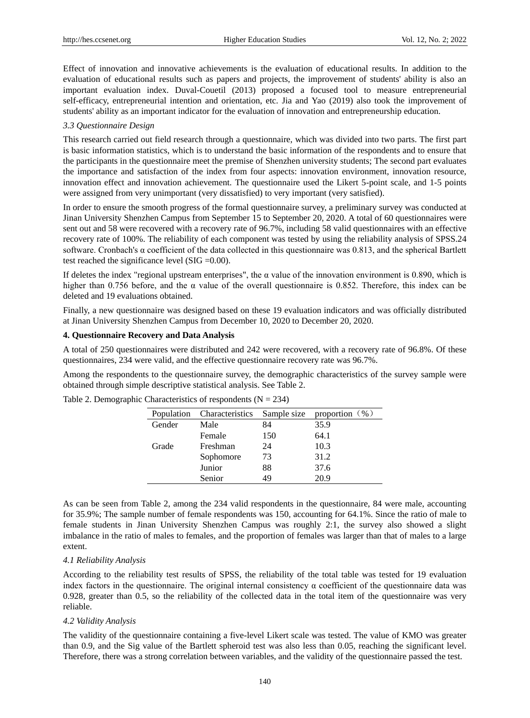Effect of innovation and innovative achievements is the evaluation of educational results. In addition to the evaluation of educational results such as papers and projects, the improvement of students' ability is also an important evaluation index. Duval-Couetil (2013) proposed a focused tool to measure entrepreneurial self-efficacy, entrepreneurial intention and orientation, etc. Jia and Yao (2019) also took the improvement of students' ability as an important indicator for the evaluation of innovation and entrepreneurship education.

## *3.3 Questionnaire Design*

This research carried out field research through a questionnaire, which was divided into two parts. The first part is basic information statistics, which is to understand the basic information of the respondents and to ensure that the participants in the questionnaire meet the premise of Shenzhen university students; The second part evaluates the importance and satisfaction of the index from four aspects: innovation environment, innovation resource, innovation effect and innovation achievement. The questionnaire used the Likert 5-point scale, and 1-5 points were assigned from very unimportant (very dissatisfied) to very important (very satisfied).

In order to ensure the smooth progress of the formal questionnaire survey, a preliminary survey was conducted at Jinan University Shenzhen Campus from September 15 to September 20, 2020. A total of 60 questionnaires were sent out and 58 were recovered with a recovery rate of 96.7%, including 58 valid questionnaires with an effective recovery rate of 100%. The reliability of each component was tested by using the reliability analysis of SPSS.24 software. Cronbach's α coefficient of the data collected in this questionnaire was 0.813, and the spherical Bartlett test reached the significance level (SIG =0.00).

If deletes the index "regional upstream enterprises", the  $\alpha$  value of the innovation environment is 0.890, which is higher than 0.756 before, and the  $\alpha$  value of the overall questionnaire is 0.852. Therefore, this index can be deleted and 19 evaluations obtained.

Finally, a new questionnaire was designed based on these 19 evaluation indicators and was officially distributed at Jinan University Shenzhen Campus from December 10, 2020 to December 20, 2020.

# **4. Questionnaire Recovery and Data Analysis**

A total of 250 questionnaires were distributed and 242 were recovered, with a recovery rate of 96.8%. Of these questionnaires, 234 were valid, and the effective questionnaire recovery rate was 96.7%.

Among the respondents to the questionnaire survey, the demographic characteristics of the survey sample were obtained through simple descriptive statistical analysis. See Table 2.

| <b>Population</b> | <b>Characteristics</b> | Sample size | proportion $(\% )$ |
|-------------------|------------------------|-------------|--------------------|
| Gender            | Male                   | 84          | 35.9               |
|                   | Female                 | 150         | 64.1               |
| Grade             | Freshman               | 24          | 10.3               |
|                   | Sophomore              | 73          | 31.2               |
|                   | Junior                 | 88          | 37.6               |
|                   | Senior                 | 49          | 20.9               |

Table 2. Demographic Characteristics of respondents  $(N = 234)$ 

As can be seen from Table 2, among the 234 valid respondents in the questionnaire, 84 were male, accounting for 35.9%; The sample number of female respondents was 150, accounting for 64.1%. Since the ratio of male to female students in Jinan University Shenzhen Campus was roughly 2:1, the survey also showed a slight imbalance in the ratio of males to females, and the proportion of females was larger than that of males to a large extent.

# *4.1 Reliability Analysis*

According to the reliability test results of SPSS, the reliability of the total table was tested for 19 evaluation index factors in the questionnaire. The original internal consistency  $\alpha$  coefficient of the questionnaire data was 0.928, greater than 0.5, so the reliability of the collected data in the total item of the questionnaire was very reliable.

# *4.2 Validity Analysis*

The validity of the questionnaire containing a five-level Likert scale was tested. The value of KMO was greater than 0.9, and the Sig value of the Bartlett spheroid test was also less than 0.05, reaching the significant level. Therefore, there was a strong correlation between variables, and the validity of the questionnaire passed the test.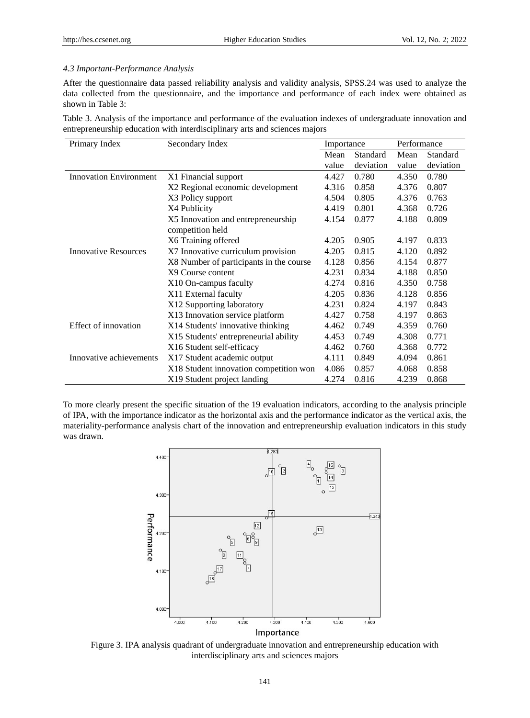# *4.3 Important-Performance Analysis*

After the questionnaire data passed reliability analysis and validity analysis, SPSS.24 was used to analyze the data collected from the questionnaire, and the importance and performance of each index were obtained as shown in Table 3:

Table 3. Analysis of the importance and performance of the evaluation indexes of undergraduate innovation and entrepreneurship education with interdisciplinary arts and sciences majors

| Primary Index                 | Secondary Index                         | Importance |                 | Performance |           |
|-------------------------------|-----------------------------------------|------------|-----------------|-------------|-----------|
|                               |                                         | Mean       | <b>Standard</b> | Mean        | Standard  |
|                               |                                         | value      | deviation       | value       | deviation |
| <b>Innovation Environment</b> | X1 Financial support                    | 4.427      | 0.780           | 4.350       | 0.780     |
|                               | X2 Regional economic development        | 4.316      | 0.858           | 4.376       | 0.807     |
|                               | X3 Policy support                       | 4.504      | 0.805           | 4.376       | 0.763     |
|                               | X4 Publicity                            | 4.419      | 0.801           | 4.368       | 0.726     |
|                               | X5 Innovation and entrepreneurship      | 4.154      | 0.877           | 4.188       | 0.809     |
|                               | competition held                        |            |                 |             |           |
|                               | X6 Training offered                     | 4.205      | 0.905           | 4.197       | 0.833     |
| <b>Innovative Resources</b>   | X7 Innovative curriculum provision      | 4.205      | 0.815           | 4.120       | 0.892     |
|                               | X8 Number of participants in the course | 4.128      | 0.856           | 4.154       | 0.877     |
|                               | X9 Course content                       | 4.231      | 0.834           | 4.188       | 0.850     |
|                               | X10 On-campus faculty                   | 4.274      | 0.816           | 4.350       | 0.758     |
|                               | X11 External faculty                    | 4.205      | 0.836           | 4.128       | 0.856     |
|                               | X12 Supporting laboratory               | 4.231      | 0.824           | 4.197       | 0.843     |
|                               | X13 Innovation service platform         | 4.427      | 0.758           | 4.197       | 0.863     |
| Effect of innovation          | X14 Students' innovative thinking       | 4.462      | 0.749           | 4.359       | 0.760     |
|                               | X15 Students' entrepreneurial ability   | 4.453      | 0.749           | 4.308       | 0.771     |
|                               | X16 Student self-efficacy               | 4.462      | 0.760           | 4.368       | 0.772     |
| Innovative achievements       | X17 Student academic output             | 4.111      | 0.849           | 4.094       | 0.861     |
|                               | X18 Student innovation competition won  | 4.086      | 0.857           | 4.068       | 0.858     |
|                               | X19 Student project landing             | 4.274      | 0.816           | 4.239       | 0.868     |

To more clearly present the specific situation of the 19 evaluation indicators, according to the analysis principle of IPA, with the importance indicator as the horizontal axis and the performance indicator as the vertical axis, the materiality-performance analysis chart of the innovation and entrepreneurship evaluation indicators in this study was drawn.



Figure 3. IPA analysis quadrant of undergraduate innovation and entrepreneurship education with interdisciplinary arts and sciences majors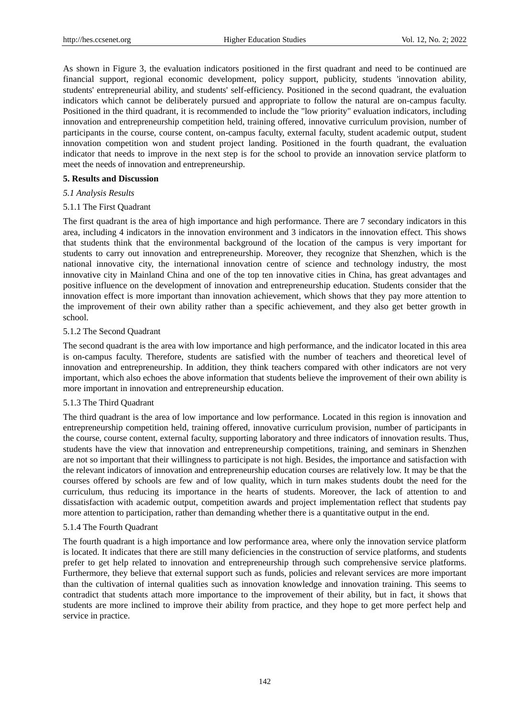As shown in Figure 3, the evaluation indicators positioned in the first quadrant and need to be continued are financial support, regional economic development, policy support, publicity, students 'innovation ability, students' entrepreneurial ability, and students' self-efficiency. Positioned in the second quadrant, the evaluation indicators which cannot be deliberately pursued and appropriate to follow the natural are on-campus faculty. Positioned in the third quadrant, it is recommended to include the "low priority" evaluation indicators, including innovation and entrepreneurship competition held, training offered, innovative curriculum provision, number of participants in the course, course content, on-campus faculty, external faculty, student academic output, student innovation competition won and student project landing. Positioned in the fourth quadrant, the evaluation indicator that needs to improve in the next step is for the school to provide an innovation service platform to meet the needs of innovation and entrepreneurship.

## **5. Results and Discussion**

## *5.1 Analysis Results*

## 5.1.1 The First Quadrant

The first quadrant is the area of high importance and high performance. There are 7 secondary indicators in this area, including 4 indicators in the innovation environment and 3 indicators in the innovation effect. This shows that students think that the environmental background of the location of the campus is very important for students to carry out innovation and entrepreneurship. Moreover, they recognize that Shenzhen, which is the national innovative city, the international innovation centre of science and technology industry, the most innovative city in Mainland China and one of the top ten innovative cities in China, has great advantages and positive influence on the development of innovation and entrepreneurship education. Students consider that the innovation effect is more important than innovation achievement, which shows that they pay more attention to the improvement of their own ability rather than a specific achievement, and they also get better growth in school.

## 5.1.2 The Second Quadrant

The second quadrant is the area with low importance and high performance, and the indicator located in this area is on-campus faculty. Therefore, students are satisfied with the number of teachers and theoretical level of innovation and entrepreneurship. In addition, they think teachers compared with other indicators are not very important, which also echoes the above information that students believe the improvement of their own ability is more important in innovation and entrepreneurship education.

# 5.1.3 The Third Quadrant

The third quadrant is the area of low importance and low performance. Located in this region is innovation and entrepreneurship competition held, training offered, innovative curriculum provision, number of participants in the course, course content, external faculty, supporting laboratory and three indicators of innovation results. Thus, students have the view that innovation and entrepreneurship competitions, training, and seminars in Shenzhen are not so important that their willingness to participate is not high. Besides, the importance and satisfaction with the relevant indicators of innovation and entrepreneurship education courses are relatively low. It may be that the courses offered by schools are few and of low quality, which in turn makes students doubt the need for the curriculum, thus reducing its importance in the hearts of students. Moreover, the lack of attention to and dissatisfaction with academic output, competition awards and project implementation reflect that students pay more attention to participation, rather than demanding whether there is a quantitative output in the end.

#### 5.1.4 The Fourth Quadrant

The fourth quadrant is a high importance and low performance area, where only the innovation service platform is located. It indicates that there are still many deficiencies in the construction of service platforms, and students prefer to get help related to innovation and entrepreneurship through such comprehensive service platforms. Furthermore, they believe that external support such as funds, policies and relevant services are more important than the cultivation of internal qualities such as innovation knowledge and innovation training. This seems to contradict that students attach more importance to the improvement of their ability, but in fact, it shows that students are more inclined to improve their ability from practice, and they hope to get more perfect help and service in practice.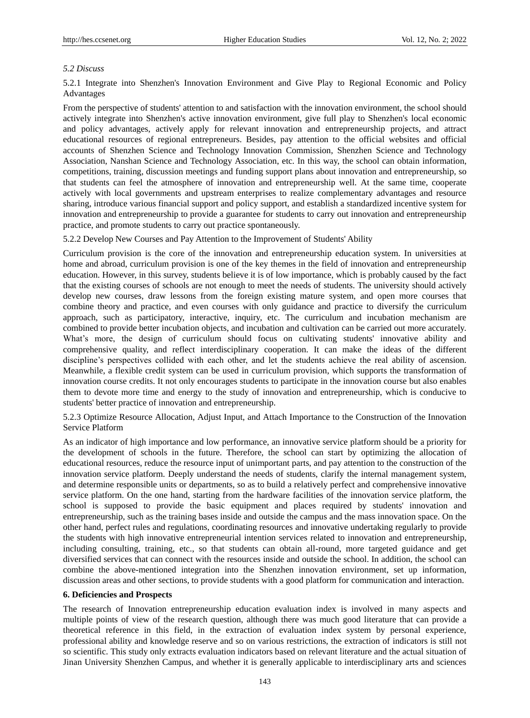# *5.2 Discuss*

5.2.1 Integrate into Shenzhen's Innovation Environment and Give Play to Regional Economic and Policy Advantages

From the perspective of students' attention to and satisfaction with the innovation environment, the school should actively integrate into Shenzhen's active innovation environment, give full play to Shenzhen's local economic and policy advantages, actively apply for relevant innovation and entrepreneurship projects, and attract educational resources of regional entrepreneurs. Besides, pay attention to the official websites and official accounts of Shenzhen Science and Technology Innovation Commission, Shenzhen Science and Technology Association, Nanshan Science and Technology Association, etc. In this way, the school can obtain information, competitions, training, discussion meetings and funding support plans about innovation and entrepreneurship, so that students can feel the atmosphere of innovation and entrepreneurship well. At the same time, cooperate actively with local governments and upstream enterprises to realize complementary advantages and resource sharing, introduce various financial support and policy support, and establish a standardized incentive system for innovation and entrepreneurship to provide a guarantee for students to carry out innovation and entrepreneurship practice, and promote students to carry out practice spontaneously.

5.2.2 Develop New Courses and Pay Attention to the Improvement of Students' Ability

Curriculum provision is the core of the innovation and entrepreneurship education system. In universities at home and abroad, curriculum provision is one of the key themes in the field of innovation and entrepreneurship education. However, in this survey, students believe it is of low importance, which is probably caused by the fact that the existing courses of schools are not enough to meet the needs of students. The university should actively develop new courses, draw lessons from the foreign existing mature system, and open more courses that combine theory and practice, and even courses with only guidance and practice to diversify the curriculum approach, such as participatory, interactive, inquiry, etc. The curriculum and incubation mechanism are combined to provide better incubation objects, and incubation and cultivation can be carried out more accurately. What's more, the design of curriculum should focus on cultivating students' innovative ability and comprehensive quality, and reflect interdisciplinary cooperation. It can make the ideas of the different discipline's perspectives collided with each other, and let the students achieve the real ability of ascension. Meanwhile, a flexible credit system can be used in curriculum provision, which supports the transformation of innovation course credits. It not only encourages students to participate in the innovation course but also enables them to devote more time and energy to the study of innovation and entrepreneurship, which is conducive to students' better practice of innovation and entrepreneurship.

5.2.3 Optimize Resource Allocation, Adjust Input, and Attach Importance to the Construction of the Innovation Service Platform

As an indicator of high importance and low performance, an innovative service platform should be a priority for the development of schools in the future. Therefore, the school can start by optimizing the allocation of educational resources, reduce the resource input of unimportant parts, and pay attention to the construction of the innovation service platform. Deeply understand the needs of students, clarify the internal management system, and determine responsible units or departments, so as to build a relatively perfect and comprehensive innovative service platform. On the one hand, starting from the hardware facilities of the innovation service platform, the school is supposed to provide the basic equipment and places required by students' innovation and entrepreneurship, such as the training bases inside and outside the campus and the mass innovation space. On the other hand, perfect rules and regulations, coordinating resources and innovative undertaking regularly to provide the students with high innovative entrepreneurial intention services related to innovation and entrepreneurship, including consulting, training, etc., so that students can obtain all-round, more targeted guidance and get diversified services that can connect with the resources inside and outside the school. In addition, the school can combine the above-mentioned integration into the Shenzhen innovation environment, set up information, discussion areas and other sections, to provide students with a good platform for communication and interaction.

#### **6. Deficiencies and Prospects**

The research of Innovation entrepreneurship education evaluation index is involved in many aspects and multiple points of view of the research question, although there was much good literature that can provide a theoretical reference in this field, in the extraction of evaluation index system by personal experience, professional ability and knowledge reserve and so on various restrictions, the extraction of indicators is still not so scientific. This study only extracts evaluation indicators based on relevant literature and the actual situation of Jinan University Shenzhen Campus, and whether it is generally applicable to interdisciplinary arts and sciences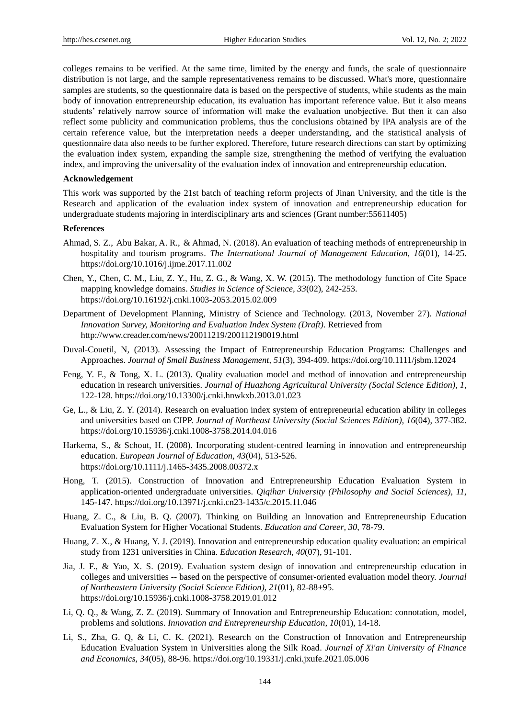colleges remains to be verified. At the same time, limited by the energy and funds, the scale of questionnaire distribution is not large, and the sample representativeness remains to be discussed. What's more, questionnaire samples are students, so the questionnaire data is based on the perspective of students, while students as the main body of innovation entrepreneurship education, its evaluation has important reference value. But it also means students' relatively narrow source of information will make the evaluation unobjective. But then it can also reflect some publicity and communication problems, thus the conclusions obtained by IPA analysis are of the certain reference value, but the interpretation needs a deeper understanding, and the statistical analysis of questionnaire data also needs to be further explored. Therefore, future research directions can start by optimizing the evaluation index system, expanding the sample size, strengthening the method of verifying the evaluation index, and improving the universality of the evaluation index of innovation and entrepreneurship education.

## **Acknowledgement**

This work was supported by the 21st batch of teaching reform projects of Jinan University, and the title is the Research and application of the evaluation index system of innovation and entrepreneurship education for undergraduate students majoring in interdisciplinary arts and sciences (Grant number:55611405)

#### **References**

- Ahmad, S. Z., Abu Bakar, A. R., & Ahmad, N. (2018). An evaluation of teaching methods of entrepreneurship in hospitality and tourism programs. *The International Journal of Management Education, 16*(01), 14-25. <https://doi.org/10.1016/j.ijme.2017.11.002>
- Chen, Y., Chen, C. M., Liu, Z. Y., Hu, Z. G., & Wang, X. W. (2015). The methodology function of Cite Space mapping knowledge domains. *Studies in Science of Science, 33*(02), 242-253. https://doi.org/10.16192/j.cnki.1003-2053.2015.02.009
- Department of Development Planning, Ministry of Science and Technology. (2013, November 27). *National Innovation Survey, Monitoring and Evaluation Index System (Draft)*. Retrieved from http://www.creader.com/news/20011219/200112190019.html
- Duval-Couetil, N, (2013). Assessing the Impact of Entrepreneurship Education Programs: Challenges and Approaches. *Journal of Small Business Management, 51*(3), 394-409. <https://doi.org/10.1111/jsbm.12024>
- Feng, Y. F., & Tong, X. L. (2013). Quality evaluation model and method of innovation and entrepreneurship education in research universities. *Journal of Huazhong Agricultural University (Social Science Edition), 1*, 122-128. https://doi.org/10.13300/j.cnki.hnwkxb.2013.01.023
- Ge, L., & Liu, Z. Y. (2014). Research on evaluation index system of entrepreneurial education ability in colleges and universities based on CIPP. *Journal of Northeast University (Social Sciences Edition), 16*(04), 377-382. https://doi.org/10.15936/j.cnki.1008-3758.2014.04.016
- Harkema, S., & Schout, H. (2008). Incorporating student-centred learning in innovation and entrepreneurship education. *European Journal of Education, 43*(04), 513-526. <https://doi.org/10.1111/j.1465-3435.2008.00372.x>
- Hong, T. (2015). Construction of Innovation and Entrepreneurship Education Evaluation System in application-oriented undergraduate universities. *Qiqihar University (Philosophy and Social Sciences), 11*, 145-147. https://doi.org/10.13971/j.cnki.cn23-1435/c.2015.11.046
- Huang, Z. C., & Liu, B. Q. (2007). Thinking on Building an Innovation and Entrepreneurship Education Evaluation System for Higher Vocational Students. *Education and Career, 30*, 78-79.
- Huang, Z. X., & Huang, Y. J. (2019). Innovation and entrepreneurship education quality evaluation: an empirical study from 1231 universities in China. *Education Research, 40*(07), 91-101.
- Jia, J. F., & Yao, X. S. (2019). Evaluation system design of innovation and entrepreneurship education in colleges and universities -- based on the perspective of consumer-oriented evaluation model theory. *Journal of Northeastern University (Social Science Edition), 21*(01), 82-88+95. https://doi.org/10.15936/j.cnki.1008-3758.2019.01.012
- Li, Q. Q., & Wang, Z. Z. (2019). Summary of Innovation and Entrepreneurship Education: connotation, model, problems and solutions. *Innovation and Entrepreneurship Education, 10*(01), 14-18.
- Li, S., Zha, G. Q, & Li, C. K. (2021). Research on the Construction of Innovation and Entrepreneurship Education Evaluation System in Universities along the Silk Road. *Journal of Xi'an University of Finance and Economics, 34*(05), 88-96. https://doi.org/10.19331/j.cnki.jxufe.2021.05.006